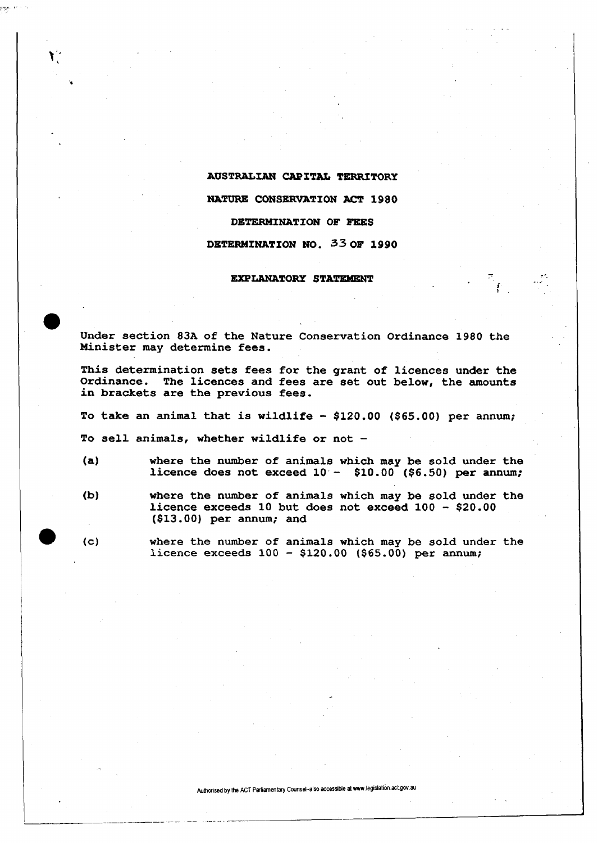## **AUSTRALIAN CAPITAL TERRITORY**

**NATURE CONSERVATION ACT 1980** 

## **DETERMINATION OF FEES**

## **DETERMINATION NO. 33 OF 1990**

## **EXPLANATORY STATEMENT**

Under section 83A of the Nature Conservation Ordinance 1980 the Minister may determine fees.

This determination sets fees for the grant of licences under the Ordinance. The licences and fees are set out below, the amounts in brackets are the previous fees.

To take an animal that is wildlife  $-$  \$120.00 (\$65.00) per annum;

To sell animals, whether wildlife or not -

 $\mathbf{Y}^{\mathbf{1}}$ 

- (a) where the number of animals which may be sold under the licence does not exceed  $10 - $10.00$  (\$6.50) per annum;
- (b) where the number of animals which may be sold under the licence exceeds 10 but does not exceed 100 - \$20.00 (\$13.00) per annum; and

(c) where the number of animals which may be sold under the licence exceeds 100 - \$120.00 (\$65.00) per annum;